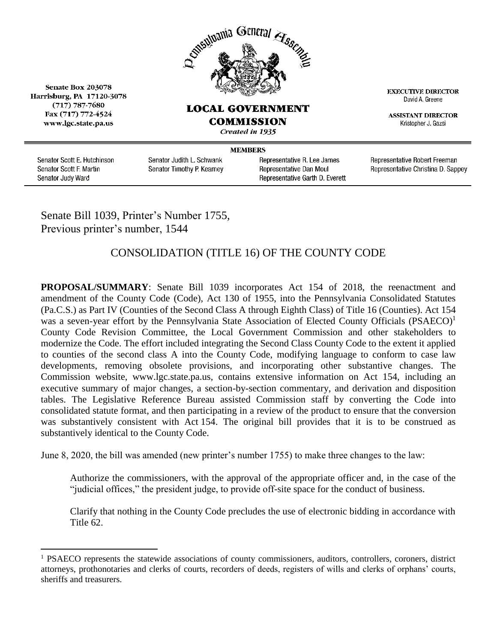

## **LOCAL GOVERNMENT COMMISSION**

Created in 1935

Senate Box 203078 Harrisburg, PA 17120-3078  $(717)$  787-7680 Fax (717) 772-4524 www.lgc.state.pa.us

**MEMBERS** 

Senator Scott E. Hutchinson Senator Scott F. Martin Senator Judy Ward

 $\overline{a}$ 

Senator Judith L. Schwank Senator Timothy P. Kearney Representative R. Lee James Representative Dan Moul Representative Garth D. Everett **EXECUTIVE DIRECTOR** David A. Greene

**ASSISTANT DIRECTOR** Kristopher J. Gazsi

Representative Robert Freeman Representative Christina D. Sappey

Senate Bill 1039, Printer's Number 1755, Previous printer's number, 1544

## CONSOLIDATION (TITLE 16) OF THE COUNTY CODE

**PROPOSAL/SUMMARY**: Senate Bill 1039 incorporates Act 154 of 2018, the reenactment and amendment of the County Code (Code), Act 130 of 1955, into the Pennsylvania Consolidated Statutes (Pa.C.S.) as Part IV (Counties of the Second Class A through Eighth Class) of Title 16 (Counties). Act 154 was a seven-year effort by the Pennsylvania State Association of Elected County Officials (PSAECO)<sup>1</sup> County Code Revision Committee, the Local Government Commission and other stakeholders to modernize the Code. The effort included integrating the Second Class County Code to the extent it applied to counties of the second class A into the County Code, modifying language to conform to case law developments, removing obsolete provisions, and incorporating other substantive changes. The Commission website, www.lgc.state.pa.us, contains extensive information on Act 154, including an executive summary of major changes, a section-by-section commentary, and derivation and disposition tables. The Legislative Reference Bureau assisted Commission staff by converting the Code into consolidated statute format, and then participating in a review of the product to ensure that the conversion was substantively consistent with Act 154. The original bill provides that it is to be construed as substantively identical to the County Code.

June 8, 2020, the bill was amended (new printer's number 1755) to make three changes to the law:

Authorize the commissioners, with the approval of the appropriate officer and, in the case of the "judicial offices," the president judge, to provide off-site space for the conduct of business.

Clarify that nothing in the County Code precludes the use of electronic bidding in accordance with Title 62.

 $1$  PSAECO represents the statewide associations of county commissioners, auditors, controllers, coroners, district attorneys, prothonotaries and clerks of courts, recorders of deeds, registers of wills and clerks of orphans' courts, sheriffs and treasurers.